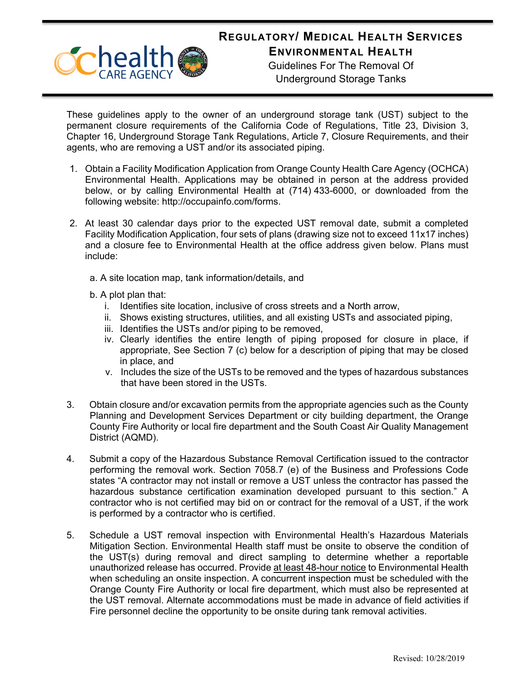## **REGULATORY/ MEDICAL HEALTH SERVICES**



**ENVIRONMENTAL HEALTH**

Guidelines For The Removal Of Underground Storage Tanks

These guidelines apply to the owner of an underground storage tank (UST) subject to the permanent closure requirements of the California Code of Regulations, Title 23, Division 3, Chapter 16, Underground Storage Tank Regulations, Article 7, Closure Requirements, and their agents, who are removing a UST and/or its associated piping.

- 1. Obtain a Facility Modification Application from Orange County Health Care Agency (OCHCA) Environmental Health. Applications may be obtained in person at the address provided below, or by calling Environmental Health at (714) 433-6000, or downloaded from the following website: [http://occupainfo.com/forms.](http://occupainfo.com/forms)
- 2. At least 30 calendar days prior to the expected UST removal date, submit a completed Facility Modification Application, four sets of plans (drawing size not to exceed 11x17 inches) and a closure fee to Environmental Health at the office address given below. Plans must include:
	- a. A site location map, tank information/details, and
	- b. A plot plan that:
		- i. Identifies site location, inclusive of cross streets and a North arrow,
		- ii. Shows existing structures, utilities, and all existing USTs and associated piping,
		- iii. Identifies the USTs and/or piping to be removed,
		- iv. Clearly identifies the entire length of piping proposed for closure in place, if appropriate, See Section 7 (c) below for a description of piping that may be closed in place, and
		- v. Includes the size of the USTs to be removed and the types of hazardous substances that have been stored in the USTs.
- 3. Obtain closure and/or excavation permits from the appropriate agencies such as the County Planning and Development Services Department or city building department, the Orange County Fire Authority or local fire department and the South Coast Air Quality Management District (AQMD).
- 4. Submit a copy of the Hazardous Substance Removal Certification issued to the contractor performing the removal work. Section 7058.7 (e) of the Business and Professions Code states "A contractor may not install or remove a UST unless the contractor has passed the hazardous substance certification examination developed pursuant to this section." A contractor who is not certified may bid on or contract for the removal of a UST, if the work is performed by a contractor who is certified.
- 5. Schedule a UST removal inspection with Environmental Health's Hazardous Materials Mitigation Section. Environmental Health staff must be onsite to observe the condition of the UST(s) during removal and direct sampling to determine whether a reportable unauthorized release has occurred. Provide at least 48-hour notice to Environmental Health when scheduling an onsite inspection. A concurrent inspection must be scheduled with the Orange County Fire Authority or local fire department, which must also be represented at the UST removal. Alternate accommodations must be made in advance of field activities if Fire personnel decline the opportunity to be onsite during tank removal activities.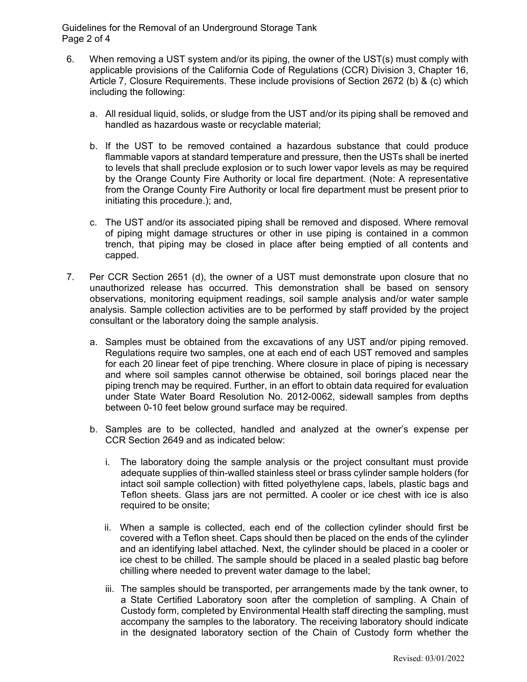Guidelines for the Removal of an Underground Storage Tank Page 2 of 4

- 6. When removing a UST system and/or its piping, the owner of the UST(s) must comply with applicable provisions of the California Code of Regulations (CCR) Division 3, Chapter 16, Article 7, Closure Requirements. These include provisions of Section 2672 (b) & (c) which including the following:
	- a. All residual liquid, solids, or sludge from the UST and/or its piping shall be removed and handled as hazardous waste or recyclable material;
	- b. If the UST to be removed contained a hazardous substance that could produce flammable vapors at standard temperature and pressure, then the USTs shall be inerted to levels that shall preclude explosion or to such lower vapor levels as may be required by the Orange County Fire Authority or local fire department. (Note: A representative from the Orange County Fire Authority or local fire department must be present prior to initiating this procedure.); and,
	- c. The UST and/or its associated piping shall be removed and disposed. Where removal of piping might damage structures or other in use piping is contained in a common trench, that piping may be closed in place after being emptied of all contents and capped.
- 7. Per CCR Section 2651 (d), the owner of a UST must demonstrate upon closure that no unauthorized release has occurred. This demonstration shall be based on sensory observations, monitoring equipment readings, soil sample analysis and/or water sample analysis. Sample collection activities are to be performed by staff provided by the project consultant or the laboratory doing the sample analysis.
	- a. Samples must be obtained from the excavations of any UST and/or piping removed. Regulations require two samples, one at each end of each UST removed and samples for each 20 linear feet of pipe trenching. Where closure in place of piping is necessary and where soil samples cannot otherwise be obtained, soil borings placed near the piping trench may be required. Further, in an effort to obtain data required for evaluation under State Water Board Resolution No. 2012-0062, sidewall samples from depths between 0-10 feet below ground surface may be required.
	- b. Samples are to be collected, handled and analyzed at the owner's expense per CCR Section 2649 and as indicated below:
		- i. The laboratory doing the sample analysis or the project consultant must provide adequate supplies of thin-walled stainless steel or brass cylinder sample holders (for intact soil sample collection) with fitted polyethylene caps, labels, plastic bags and Teflon sheets. Glass jars are not permitted. A cooler or ice chest with ice is also required to be onsite;
		- ii. When a sample is collected, each end of the collection cylinder should first be covered with a Teflon sheet. Caps should then be placed on the ends of the cylinder and an identifying label attached. Next, the cylinder should be placed in a cooler or ice chest to be chilled. The sample should be placed in a sealed plastic bag before chilling where needed to prevent water damage to the label;
		- iii. The samples should be transported, per arrangements made by the tank owner, to a State Certified Laboratory soon after the completion of sampling. A Chain of Custody form, completed by Environmental Health staff directing the sampling, must accompany the samples to the laboratory. The receiving laboratory should indicate in the designated laboratory section of the Chain of Custody form whether the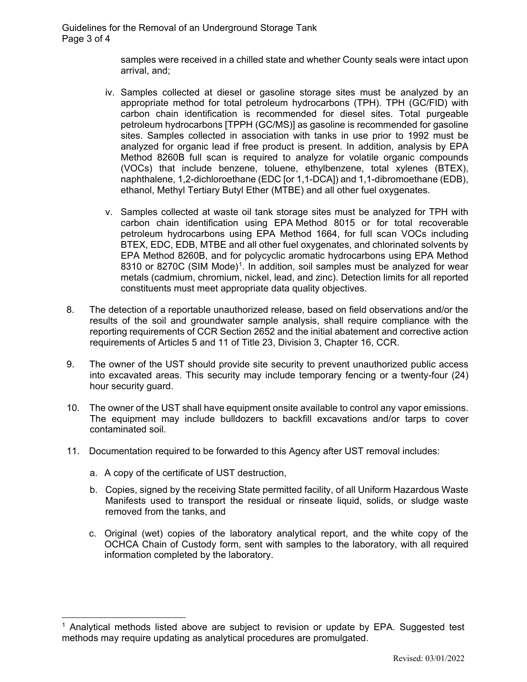samples were received in a chilled state and whether County seals were intact upon arrival, and;

- iv. Samples collected at diesel or gasoline storage sites must be analyzed by an appropriate method for total petroleum hydrocarbons (TPH). TPH (GC/FID) with carbon chain identification is recommended for diesel sites. Total purgeable petroleum hydrocarbons [TPPH (GC/MS)] as gasoline is recommended for gasoline sites. Samples collected in association with tanks in use prior to 1992 must be analyzed for organic lead if free product is present. In addition, analysis by EPA Method 8260B full scan is required to analyze for volatile organic compounds (VOCs) that include benzene, toluene, ethylbenzene, total xylenes (BTEX), naphthalene, 1,2-dichloroethane (EDC [or 1,1-DCA]) and 1,1-dibromoethane (EDB), ethanol, Methyl Tertiary Butyl Ether (MTBE) and all other fuel oxygenates.
- v. Samples collected at waste oil tank storage sites must be analyzed for TPH with carbon chain identification using EPA Method 8015 or for total recoverable petroleum hydrocarbons using EPA Method 1664, for full scan VOCs including BTEX, EDC, EDB, MTBE and all other fuel oxygenates, and chlorinated solvents by EPA Method 8260B, and for polycyclic aromatic hydrocarbons using EPA Method 83[1](#page-2-0)0 or 8270C (SIM Mode)<sup>1</sup>. In addition, soil samples must be analyzed for wear metals (cadmium, chromium, nickel, lead, and zinc). Detection limits for all reported constituents must meet appropriate data quality objectives.
- 8. The detection of a reportable unauthorized release, based on field observations and/or the results of the soil and groundwater sample analysis, shall require compliance with the reporting requirements of CCR Section 2652 and the initial abatement and corrective action requirements of Articles 5 and 11 of Title 23, Division 3, Chapter 16, CCR.
- 9. The owner of the UST should provide site security to prevent unauthorized public access into excavated areas. This security may include temporary fencing or a twenty-four (24) hour security guard.
- 10. The owner of the UST shall have equipment onsite available to control any vapor emissions. The equipment may include bulldozers to backfill excavations and/or tarps to cover contaminated soil.
- 11. Documentation required to be forwarded to this Agency after UST removal includes:
	- a. A copy of the certificate of UST destruction,
	- b. Copies, signed by the receiving State permitted facility, of all Uniform Hazardous Waste Manifests used to transport the residual or rinseate liquid, solids, or sludge waste removed from the tanks, and
	- c. Original (wet) copies of the laboratory analytical report, and the white copy of the OCHCA Chain of Custody form, sent with samples to the laboratory, with all required information completed by the laboratory.

<span id="page-2-0"></span><sup>1</sup> Analytical methods listed above are subject to revision or update by EPA. Suggested test methods may require updating as analytical procedures are promulgated.